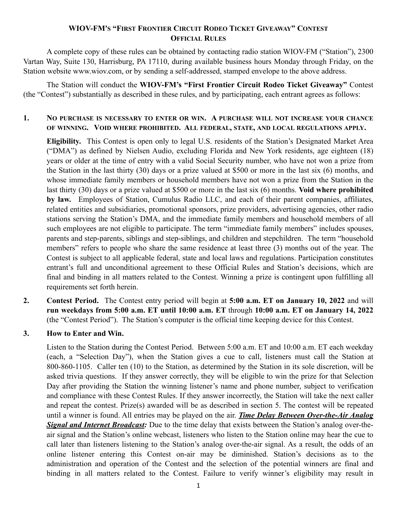## **WIOV-FM'S "FIRST FRONTIER CIRCUIT RODEO TICKET GIVEAWAY" CONTEST OFFICIAL RULES**

A complete copy of these rules can be obtained by contacting radio station WIOV-FM ("Station"), 2300 Vartan Way, Suite 130, Harrisburg, PA 17110, during available business hours Monday through Friday, on the Station website www.wiov.com, or by sending a self-addressed, stamped envelope to the above address.

The Station will conduct the **WIOV-FM's "First Frontier Circuit Rodeo Ticket Giveaway"** Contest (the "Contest") substantially as described in these rules, and by participating, each entrant agrees as follows:

## **1. NO PURCHASE IS NECESSARY TO ENTER OR WIN. A PURCHASE WILL NOT INCREASE YOUR CHANCE OF WINNING. VOID WHERE PROHIBITED. ALL FEDERAL, STATE, AND LOCAL REGULATIONS APPLY.**

**Eligibility.** This Contest is open only to legal U.S. residents of the Station's Designated Market Area ("DMA") as defined by Nielsen Audio, excluding Florida and New York residents, age eighteen (18) years or older at the time of entry with a valid Social Security number, who have not won a prize from the Station in the last thirty (30) days or a prize valued at \$500 or more in the last six (6) months, and whose immediate family members or household members have not won a prize from the Station in the last thirty (30) days or a prize valued at \$500 or more in the last six (6) months. **Void where prohibited by law.** Employees of Station, Cumulus Radio LLC, and each of their parent companies, affiliates, related entities and subsidiaries, promotional sponsors, prize providers, advertising agencies, other radio stations serving the Station's DMA, and the immediate family members and household members of all such employees are not eligible to participate. The term "immediate family members" includes spouses, parents and step-parents, siblings and step-siblings, and children and stepchildren. The term "household members" refers to people who share the same residence at least three (3) months out of the year. The Contest is subject to all applicable federal, state and local laws and regulations. Participation constitutes entrant's full and unconditional agreement to these Official Rules and Station's decisions, which are final and binding in all matters related to the Contest. Winning a prize is contingent upon fulfilling all requirements set forth herein.

**2. Contest Period.** The Contest entry period will begin at **5:00 a.m. ET on January 10, 2022** and will **run weekdays from 5:00 a.m. ET until 10:00 a.m. ET** through **10:00 a.m. ET on January 14, 2022**  (the "Contest Period"). The Station's computer is the official time keeping device for this Contest.

## **3. How to Enter and Win.**

Listen to the Station during the Contest Period. Between 5:00 a.m. ET and 10:00 a.m. ET each weekday (each, a "Selection Day"), when the Station gives a cue to call, listeners must call the Station at 800-860-1105. Caller ten (10) to the Station, as determined by the Station in its sole discretion, will be asked trivia questions. If they answer correctly, they will be eligible to win the prize for that Selection Day after providing the Station the winning listener's name and phone number, subject to verification and compliance with these Contest Rules. If they answer incorrectly, the Station will take the next caller and repeat the contest. Prize(s) awarded will be as described in section 5. The contest will be repeated until a winner is found. All entries may be played on the air. *Time Delay Between Over-the-Air Analog Signal and Internet Broadcast:* Due to the time delay that exists between the Station's analog over-theair signal and the Station's online webcast, listeners who listen to the Station online may hear the cue to call later than listeners listening to the Station's analog over-the-air signal. As a result, the odds of an online listener entering this Contest on-air may be diminished. Station's decisions as to the administration and operation of the Contest and the selection of the potential winners are final and binding in all matters related to the Contest. Failure to verify winner's eligibility may result in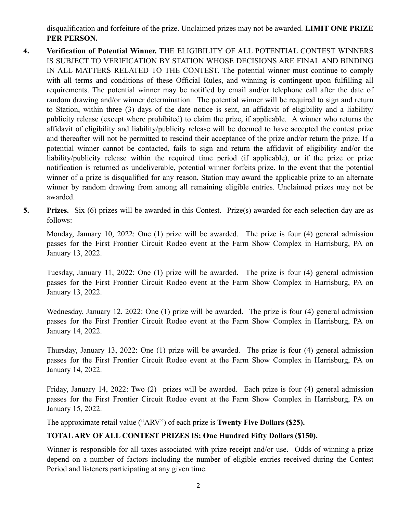disqualification and forfeiture of the prize. Unclaimed prizes may not be awarded. **LIMIT ONE PRIZE PER PERSON.**

- **4. Verification of Potential Winner.** THE ELIGIBILITY OF ALL POTENTIAL CONTEST WINNERS IS SUBJECT TO VERIFICATION BY STATION WHOSE DECISIONS ARE FINAL AND BINDING IN ALL MATTERS RELATED TO THE CONTEST. The potential winner must continue to comply with all terms and conditions of these Official Rules, and winning is contingent upon fulfilling all requirements. The potential winner may be notified by email and/or telephone call after the date of random drawing and/or winner determination. The potential winner will be required to sign and return to Station, within three (3) days of the date notice is sent, an affidavit of eligibility and a liability/ publicity release (except where prohibited) to claim the prize, if applicable. A winner who returns the affidavit of eligibility and liability/publicity release will be deemed to have accepted the contest prize and thereafter will not be permitted to rescind their acceptance of the prize and/or return the prize. If a potential winner cannot be contacted, fails to sign and return the affidavit of eligibility and/or the liability/publicity release within the required time period (if applicable), or if the prize or prize notification is returned as undeliverable, potential winner forfeits prize. In the event that the potential winner of a prize is disqualified for any reason, Station may award the applicable prize to an alternate winner by random drawing from among all remaining eligible entries. Unclaimed prizes may not be awarded.
- **5. Prizes.** Six (6) prizes will be awarded in this Contest. Prize(s) awarded for each selection day are as follows:

Monday, January 10, 2022: One (1) prize will be awarded. The prize is four (4) general admission passes for the First Frontier Circuit Rodeo event at the Farm Show Complex in Harrisburg, PA on January 13, 2022.

Tuesday, January 11, 2022: One (1) prize will be awarded. The prize is four (4) general admission passes for the First Frontier Circuit Rodeo event at the Farm Show Complex in Harrisburg, PA on January 13, 2022.

Wednesday, January 12, 2022: One (1) prize will be awarded. The prize is four (4) general admission passes for the First Frontier Circuit Rodeo event at the Farm Show Complex in Harrisburg, PA on January 14, 2022.

Thursday, January 13, 2022: One (1) prize will be awarded. The prize is four (4) general admission passes for the First Frontier Circuit Rodeo event at the Farm Show Complex in Harrisburg, PA on January 14, 2022.

Friday, January 14, 2022: Two (2) prizes will be awarded. Each prize is four (4) general admission passes for the First Frontier Circuit Rodeo event at the Farm Show Complex in Harrisburg, PA on January 15, 2022.

The approximate retail value ("ARV") of each prize is **Twenty Five Dollars (\$25).**

## **TOTAL ARV OF ALL CONTEST PRIZES IS: One Hundred Fifty Dollars (\$150).**

Winner is responsible for all taxes associated with prize receipt and/or use. Odds of winning a prize depend on a number of factors including the number of eligible entries received during the Contest Period and listeners participating at any given time.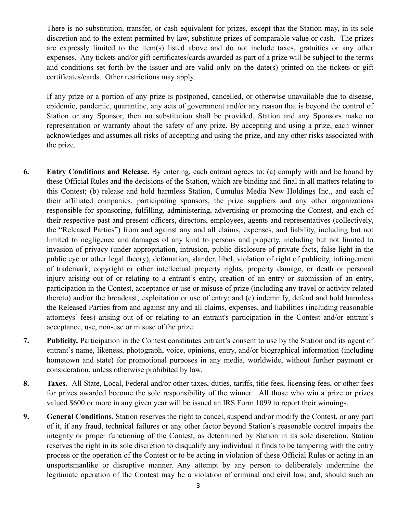There is no substitution, transfer, or cash equivalent for prizes, except that the Station may, in its sole discretion and to the extent permitted by law, substitute prizes of comparable value or cash. The prizes are expressly limited to the item(s) listed above and do not include taxes, gratuities or any other expenses. Any tickets and/or gift certificates/cards awarded as part of a prize will be subject to the terms and conditions set forth by the issuer and are valid only on the date(s) printed on the tickets or gift certificates/cards. Other restrictions may apply.

If any prize or a portion of any prize is postponed, cancelled, or otherwise unavailable due to disease, epidemic, pandemic, quarantine, any acts of government and/or any reason that is beyond the control of Station or any Sponsor, then no substitution shall be provided. Station and any Sponsors make no representation or warranty about the safety of any prize. By accepting and using a prize, each winner acknowledges and assumes all risks of accepting and using the prize, and any other risks associated with the prize.

- **6. Entry Conditions and Release.** By entering, each entrant agrees to: (a) comply with and be bound by these Official Rules and the decisions of the Station, which are binding and final in all matters relating to this Contest; (b) release and hold harmless Station, Cumulus Media New Holdings Inc., and each of their affiliated companies, participating sponsors, the prize suppliers and any other organizations responsible for sponsoring, fulfilling, administering, advertising or promoting the Contest, and each of their respective past and present officers, directors, employees, agents and representatives (collectively, the "Released Parties") from and against any and all claims, expenses, and liability, including but not limited to negligence and damages of any kind to persons and property, including but not limited to invasion of privacy (under appropriation, intrusion, public disclosure of private facts, false light in the public eye or other legal theory), defamation, slander, libel, violation of right of publicity, infringement of trademark, copyright or other intellectual property rights, property damage, or death or personal injury arising out of or relating to a entrant's entry, creation of an entry or submission of an entry, participation in the Contest, acceptance or use or misuse of prize (including any travel or activity related thereto) and/or the broadcast, exploitation or use of entry; and (c) indemnify, defend and hold harmless the Released Parties from and against any and all claims, expenses, and liabilities (including reasonable attorneys' fees) arising out of or relating to an entrant's participation in the Contest and/or entrant's acceptance, use, non-use or misuse of the prize.
- **7. Publicity.** Participation in the Contest constitutes entrant's consent to use by the Station and its agent of entrant's name, likeness, photograph, voice, opinions, entry, and/or biographical information (including hometown and state) for promotional purposes in any media, worldwide, without further payment or consideration, unless otherwise prohibited by law.
- **8. Taxes.** All State, Local, Federal and/or other taxes, duties, tariffs, title fees, licensing fees, or other fees for prizes awarded become the sole responsibility of the winner. All those who win a prize or prizes valued \$600 or more in any given year will be issued an IRS Form 1099 to report their winnings.
- **9. General Conditions.** Station reserves the right to cancel, suspend and/or modify the Contest, or any part of it, if any fraud, technical failures or any other factor beyond Station's reasonable control impairs the integrity or proper functioning of the Contest, as determined by Station in its sole discretion. Station reserves the right in its sole discretion to disqualify any individual it finds to be tampering with the entry process or the operation of the Contest or to be acting in violation of these Official Rules or acting in an unsportsmanlike or disruptive manner. Any attempt by any person to deliberately undermine the legitimate operation of the Contest may be a violation of criminal and civil law, and, should such an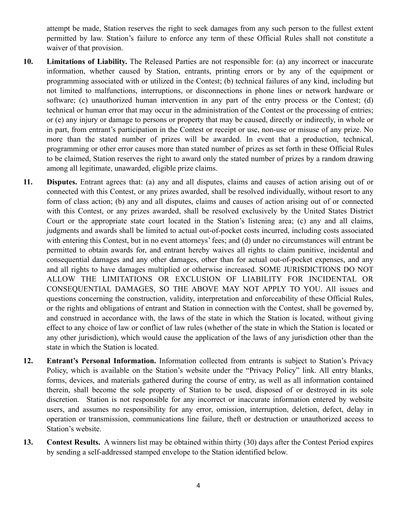attempt be made, Station reserves the right to seek damages from any such person to the fullest extent permitted by law. Station's failure to enforce any term of these Official Rules shall not constitute a waiver of that provision.

- **10. Limitations of Liability.** The Released Parties are not responsible for: (a) any incorrect or inaccurate information, whether caused by Station, entrants, printing errors or by any of the equipment or programming associated with or utilized in the Contest; (b) technical failures of any kind, including but not limited to malfunctions, interruptions, or disconnections in phone lines or network hardware or software; (c) unauthorized human intervention in any part of the entry process or the Contest; (d) technical or human error that may occur in the administration of the Contest or the processing of entries; or (e) any injury or damage to persons or property that may be caused, directly or indirectly, in whole or in part, from entrant's participation in the Contest or receipt or use, non-use or misuse of any prize. No more than the stated number of prizes will be awarded. In event that a production, technical, programming or other error causes more than stated number of prizes as set forth in these Official Rules to be claimed, Station reserves the right to award only the stated number of prizes by a random drawing among all legitimate, unawarded, eligible prize claims.
- **11. Disputes.** Entrant agrees that: (a) any and all disputes, claims and causes of action arising out of or connected with this Contest, or any prizes awarded, shall be resolved individually, without resort to any form of class action; (b) any and all disputes, claims and causes of action arising out of or connected with this Contest, or any prizes awarded, shall be resolved exclusively by the United States District Court or the appropriate state court located in the Station's listening area; (c) any and all claims, judgments and awards shall be limited to actual out-of-pocket costs incurred, including costs associated with entering this Contest, but in no event attorneys' fees; and (d) under no circumstances will entrant be permitted to obtain awards for, and entrant hereby waives all rights to claim punitive, incidental and consequential damages and any other damages, other than for actual out-of-pocket expenses, and any and all rights to have damages multiplied or otherwise increased. SOME JURISDICTIONS DO NOT ALLOW THE LIMITATIONS OR EXCLUSION OF LIABILITY FOR INCIDENTAL OR CONSEQUENTIAL DAMAGES, SO THE ABOVE MAY NOT APPLY TO YOU. All issues and questions concerning the construction, validity, interpretation and enforceability of these Official Rules, or the rights and obligations of entrant and Station in connection with the Contest, shall be governed by, and construed in accordance with, the laws of the state in which the Station is located, without giving effect to any choice of law or conflict of law rules (whether of the state in which the Station is located or any other jurisdiction), which would cause the application of the laws of any jurisdiction other than the state in which the Station is located.
- **12. Entrant's Personal Information.** Information collected from entrants is subject to Station's Privacy Policy, which is available on the Station's website under the "Privacy Policy" link. All entry blanks, forms, devices, and materials gathered during the course of entry, as well as all information contained therein, shall become the sole property of Station to be used, disposed of or destroyed in its sole discretion. Station is not responsible for any incorrect or inaccurate information entered by website users, and assumes no responsibility for any error, omission, interruption, deletion, defect, delay in operation or transmission, communications line failure, theft or destruction or unauthorized access to Station's website.
- **13. Contest Results.** A winners list may be obtained within thirty (30) days after the Contest Period expires by sending a self-addressed stamped envelope to the Station identified below.